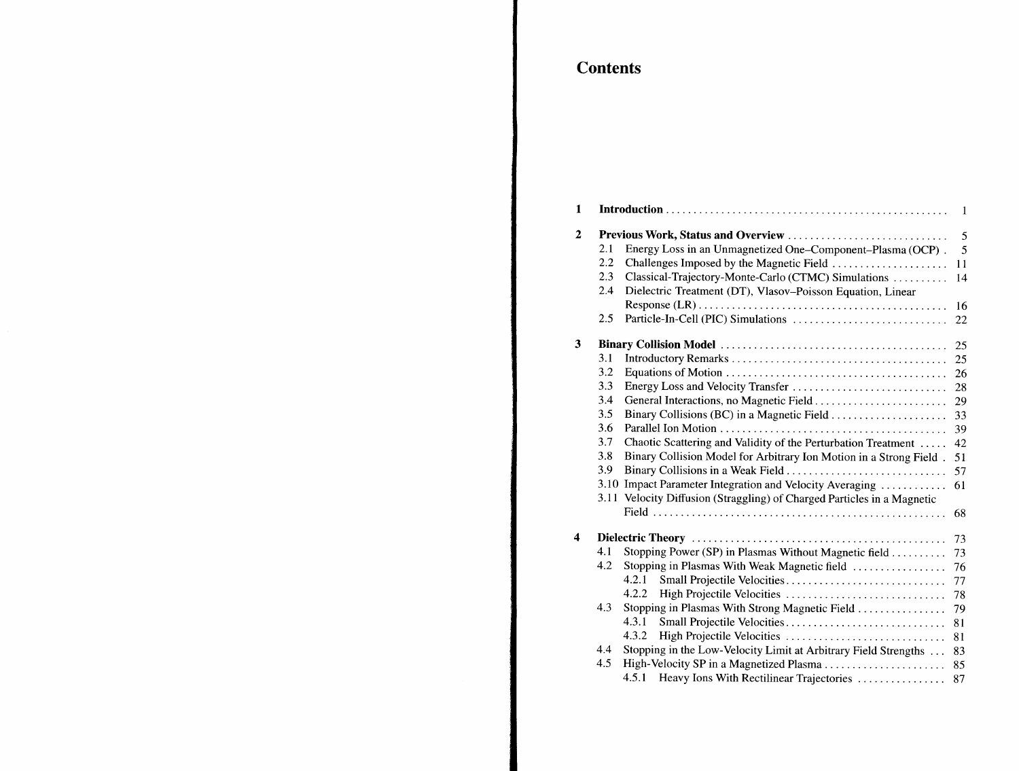## **Contents**

| $\mathbf{1}$ |     |                                                                         | $\mathbf{1}$ |  |  |  |
|--------------|-----|-------------------------------------------------------------------------|--------------|--|--|--|
| $\mathbf{2}$ |     | Previous Work, Status and Overview                                      |              |  |  |  |
|              | 2.1 | Energy Loss in an Unmagnetized One–Component–Plasma (OCP).              | 5<br>5       |  |  |  |
|              | 2.2 | Challenges Imposed by the Magnetic Field                                | 11           |  |  |  |
|              | 2.3 | Classical-Trajectory-Monte-Carlo (CTMC) Simulations                     | 14           |  |  |  |
|              | 2.4 | Dielectric Treatment (DT), Vlasov-Poisson Equation, Linear              |              |  |  |  |
|              |     |                                                                         | 16           |  |  |  |
|              | 2.5 |                                                                         | 22           |  |  |  |
| 3            |     |                                                                         | 25           |  |  |  |
|              | 3.1 |                                                                         | 25           |  |  |  |
|              | 3.2 |                                                                         | 26           |  |  |  |
|              | 3.3 |                                                                         | 28           |  |  |  |
|              | 3.4 | General Interactions, no Magnetic Field                                 | 29           |  |  |  |
|              | 3.5 |                                                                         | 33           |  |  |  |
|              | 3.6 |                                                                         | 39           |  |  |  |
|              | 3.7 | Chaotic Scattering and Validity of the Perturbation Treatment           | 42           |  |  |  |
|              | 3.8 | Binary Collision Model for Arbitrary Ion Motion in a Strong Field.      | 51           |  |  |  |
|              | 3.9 | Binary Collisions in a Weak Field                                       | 57           |  |  |  |
|              |     | 3.10 Impact Parameter Integration and Velocity Averaging                | 61           |  |  |  |
|              |     | 3.11 Velocity Diffusion (Straggling) of Charged Particles in a Magnetic |              |  |  |  |
|              |     |                                                                         | 68           |  |  |  |
| 4            |     | 73                                                                      |              |  |  |  |
|              | 4.1 | Stopping Power (SP) in Plasmas Without Magnetic field                   | 73           |  |  |  |
|              | 4.2 | Stopping in Plasmas With Weak Magnetic field                            | 76           |  |  |  |
|              |     | 4.2.1<br>Small Projectile Velocities                                    | 77           |  |  |  |
|              |     | 4.2.2<br>High Projectile Velocities                                     | 78           |  |  |  |
|              | 4.3 | Stopping in Plasmas With Strong Magnetic Field                          | 79           |  |  |  |
|              |     | 4.3.1<br>Small Projectile Velocities                                    | 81           |  |  |  |
|              |     | 4.3.2                                                                   | 81           |  |  |  |
|              | 4.4 | Stopping in the Low-Velocity Limit at Arbitrary Field Strengths         | 83           |  |  |  |
|              | 4.5 | High-Velocity SP in a Magnetized Plasma                                 | 85           |  |  |  |
|              |     | 4.5.1 Heavy Ions With Rectilinear Trajectories                          | 87           |  |  |  |